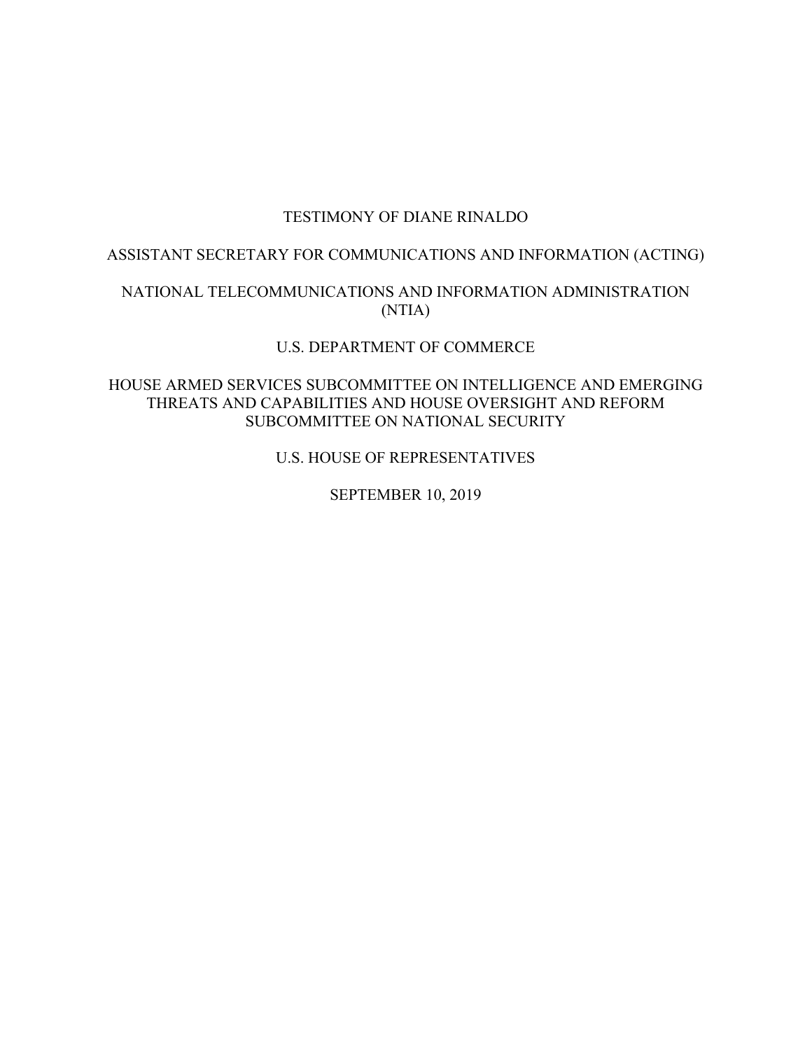## TESTIMONY OF DIANE RINALDO

# ASSISTANT SECRETARY FOR COMMUNICATIONS AND INFORMATION (ACTING)

# NATIONAL TELECOMMUNICATIONS AND INFORMATION ADMINISTRATION (NTIA)

### U.S. DEPARTMENT OF COMMERCE

### HOUSE ARMED SERVICES SUBCOMMITTEE ON INTELLIGENCE AND EMERGING THREATS AND CAPABILITIES AND HOUSE OVERSIGHT AND REFORM SUBCOMMITTEE ON NATIONAL SECURITY

U.S. HOUSE OF REPRESENTATIVES

SEPTEMBER 10, 2019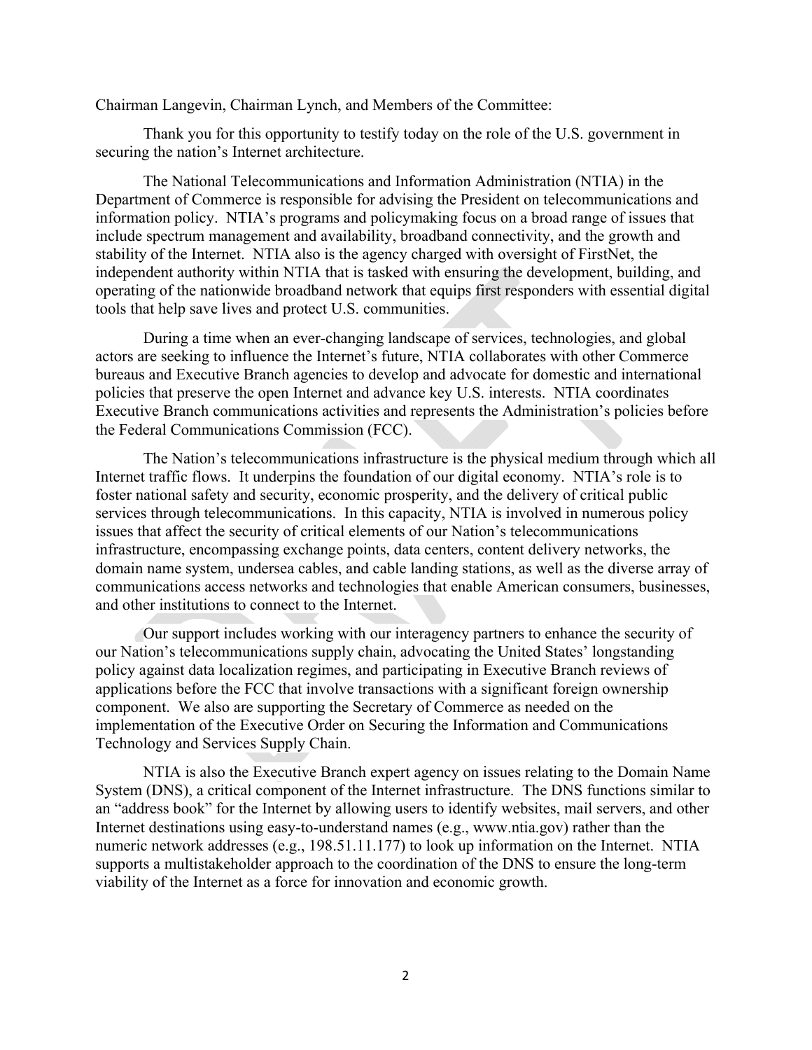Chairman Langevin, Chairman Lynch, and Members of the Committee:

Thank you for this opportunity to testify today on the role of the U.S. government in securing the nation's Internet architecture.

The National Telecommunications and Information Administration (NTIA) in the Department of Commerce is responsible for advising the President on telecommunications and information policy. NTIA's programs and policymaking focus on a broad range of issues that include spectrum management and availability, broadband connectivity, and the growth and stability of the Internet. NTIA also is the agency charged with oversight of FirstNet, the independent authority within NTIA that is tasked with ensuring the development, building, and operating of the nationwide broadband network that equips first responders with essential digital tools that help save lives and protect U.S. communities.

During a time when an ever-changing landscape of services, technologies, and global actors are seeking to influence the Internet's future, NTIA collaborates with other Commerce bureaus and Executive Branch agencies to develop and advocate for domestic and international policies that preserve the open Internet and advance key U.S. interests. NTIA coordinates Executive Branch communications activities and represents the Administration's policies before the Federal Communications Commission (FCC).

The Nation's telecommunications infrastructure is the physical medium through which all Internet traffic flows. It underpins the foundation of our digital economy. NTIA's role is to foster national safety and security, economic prosperity, and the delivery of critical public services through telecommunications. In this capacity, NTIA is involved in numerous policy issues that affect the security of critical elements of our Nation's telecommunications infrastructure, encompassing exchange points, data centers, content delivery networks, the domain name system, undersea cables, and cable landing stations, as well as the diverse array of communications access networks and technologies that enable American consumers, businesses, and other institutions to connect to the Internet.

Our support includes working with our interagency partners to enhance the security of our Nation's telecommunications supply chain, advocating the United States' longstanding policy against data localization regimes, and participating in Executive Branch reviews of applications before the FCC that involve transactions with a significant foreign ownership component. We also are supporting the Secretary of Commerce as needed on the implementation of the Executive Order on Securing the Information and Communications Technology and Services Supply Chain.

NTIA is also the Executive Branch expert agency on issues relating to the Domain Name System (DNS), a critical component of the Internet infrastructure. The DNS functions similar to an "address book" for the Internet by allowing users to identify websites, mail servers, and other Internet destinations using easy-to-understand names (e.g., www.ntia.gov) rather than the numeric network addresses (e.g., 198.51.11.177) to look up information on the Internet. NTIA supports a multistakeholder approach to the coordination of the DNS to ensure the long-term viability of the Internet as a force for innovation and economic growth.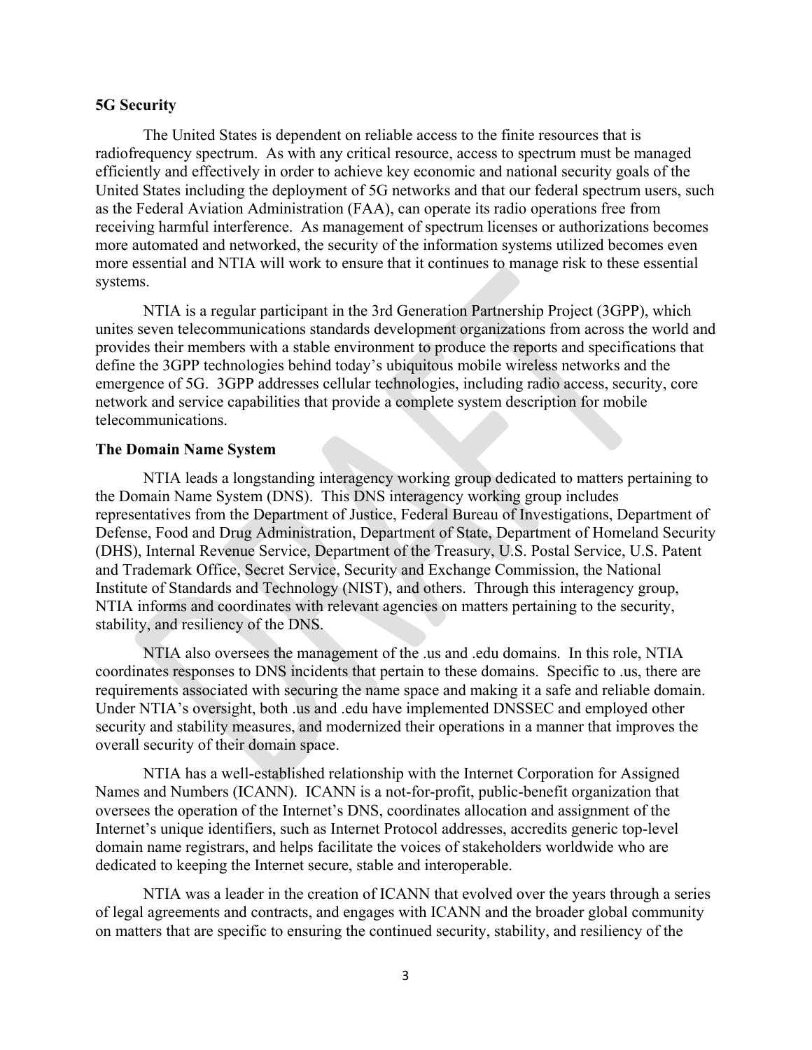#### **5G Security**

The United States is dependent on reliable access to the finite resources that is radiofrequency spectrum. As with any critical resource, access to spectrum must be managed efficiently and effectively in order to achieve key economic and national security goals of the United States including the deployment of 5G networks and that our federal spectrum users, such as the Federal Aviation Administration (FAA), can operate its radio operations free from receiving harmful interference. As management of spectrum licenses or authorizations becomes more automated and networked, the security of the information systems utilized becomes even more essential and NTIA will work to ensure that it continues to manage risk to these essential systems.

NTIA is a regular participant in the 3rd Generation Partnership Project (3GPP), which unites seven telecommunications standards development organizations from across the world and provides their members with a stable environment to produce the reports and specifications that define the 3GPP technologies behind today's ubiquitous mobile wireless networks and the emergence of 5G. 3GPP addresses cellular technologies, including radio access, security, core network and service capabilities that provide a complete system description for mobile telecommunications.

#### **The Domain Name System**

NTIA leads a longstanding interagency working group dedicated to matters pertaining to the Domain Name System (DNS). This DNS interagency working group includes representatives from the Department of Justice, Federal Bureau of Investigations, Department of Defense, Food and Drug Administration, Department of State, Department of Homeland Security (DHS), Internal Revenue Service, Department of the Treasury, U.S. Postal Service, U.S. Patent and Trademark Office, Secret Service, Security and Exchange Commission, the National Institute of Standards and Technology (NIST), and others. Through this interagency group, NTIA informs and coordinates with relevant agencies on matters pertaining to the security, stability, and resiliency of the DNS.

NTIA also oversees the management of the .us and .edu domains. In this role, NTIA coordinates responses to DNS incidents that pertain to these domains. Specific to .us, there are requirements associated with securing the name space and making it a safe and reliable domain. Under NTIA's oversight, both .us and .edu have implemented DNSSEC and employed other security and stability measures, and modernized their operations in a manner that improves the overall security of their domain space.

NTIA has a well-established relationship with the Internet Corporation for Assigned Names and Numbers (ICANN). ICANN is a not-for-profit, public-benefit organization that oversees the operation of the Internet's DNS, coordinates allocation and assignment of the Internet's unique identifiers, such as Internet Protocol addresses, accredits generic top-level domain name registrars, and helps facilitate the voices of stakeholders worldwide who are dedicated to keeping the Internet secure, stable and interoperable.

NTIA was a leader in the creation of ICANN that evolved over the years through a series of legal agreements and contracts, and engages with ICANN and the broader global community on matters that are specific to ensuring the continued security, stability, and resiliency of the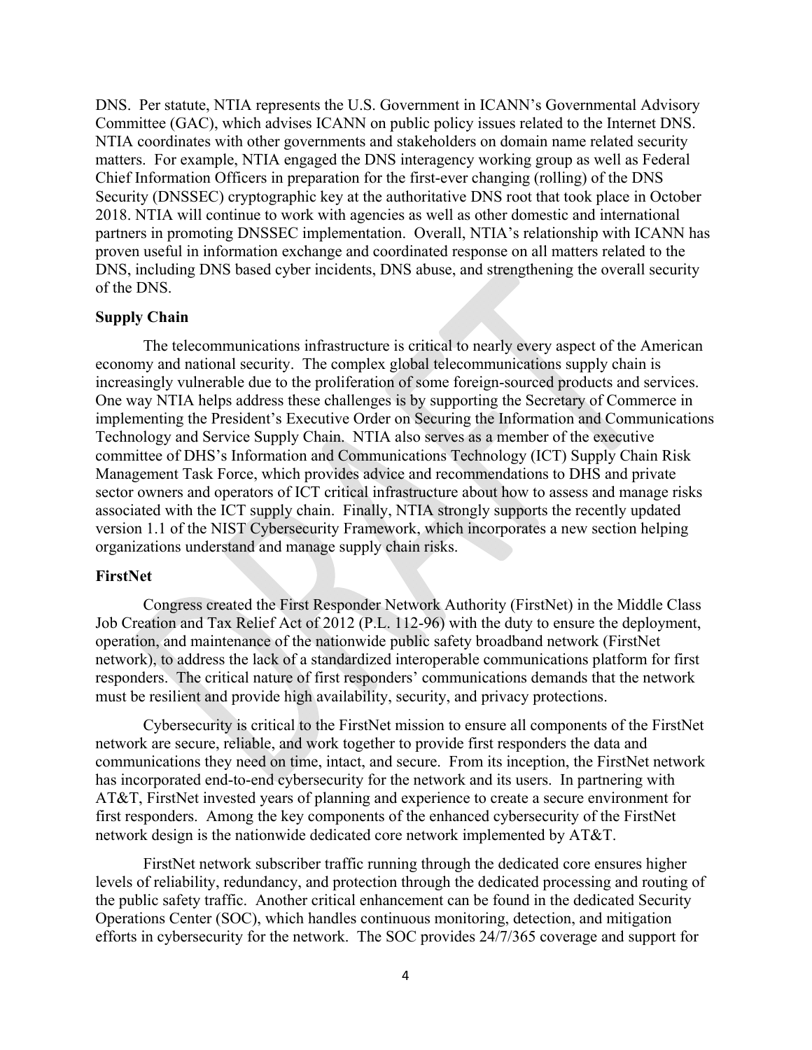DNS. Per statute, NTIA represents the U.S. Government in ICANN's Governmental Advisory Committee (GAC), which advises ICANN on public policy issues related to the Internet DNS. NTIA coordinates with other governments and stakeholders on domain name related security matters. For example, NTIA engaged the DNS interagency working group as well as Federal Chief Information Officers in preparation for the first-ever changing (rolling) of the DNS Security (DNSSEC) cryptographic key at the authoritative DNS root that took place in October 2018. NTIA will continue to work with agencies as well as other domestic and international partners in promoting DNSSEC implementation. Overall, NTIA's relationship with ICANN has proven useful in information exchange and coordinated response on all matters related to the DNS, including DNS based cyber incidents, DNS abuse, and strengthening the overall security of the DNS.

#### **Supply Chain**

The telecommunications infrastructure is critical to nearly every aspect of the American economy and national security. The complex global telecommunications supply chain is increasingly vulnerable due to the proliferation of some foreign-sourced products and services. One way NTIA helps address these challenges is by supporting the Secretary of Commerce in implementing the President's Executive Order on Securing the Information and Communications Technology and Service Supply Chain. NTIA also serves as a member of the executive committee of DHS's Information and Communications Technology (ICT) Supply Chain Risk Management Task Force, which provides advice and recommendations to DHS and private sector owners and operators of ICT critical infrastructure about how to assess and manage risks associated with the ICT supply chain. Finally, NTIA strongly supports the recently updated version 1.1 of the NIST Cybersecurity Framework, which incorporates a new section helping organizations understand and manage supply chain risks.

### **FirstNet**

Congress created the First Responder Network Authority (FirstNet) in the Middle Class Job Creation and Tax Relief Act of 2012 (P.L. 112-96) with the duty to ensure the deployment, operation, and maintenance of the nationwide public safety broadband network (FirstNet network), to address the lack of a standardized interoperable communications platform for first responders. The critical nature of first responders' communications demands that the network must be resilient and provide high availability, security, and privacy protections.

Cybersecurity is critical to the FirstNet mission to ensure all components of the FirstNet network are secure, reliable, and work together to provide first responders the data and communications they need on time, intact, and secure.From its inception, the FirstNet network has incorporated end-to-end cybersecurity for the network and its users. In partnering with AT&T, FirstNet invested years of planning and experience to create a secure environment for first responders. Among the key components of the enhanced cybersecurity of the FirstNet network design is the nationwide dedicated core network implemented by AT&T.

FirstNet network subscriber traffic running through the dedicated core ensures higher levels of reliability, redundancy, and protection through the dedicated processing and routing of the public safety traffic. Another critical enhancement can be found in the dedicated Security Operations Center (SOC), which handles continuous monitoring, detection, and mitigation efforts in cybersecurity for the network. The SOC provides 24/7/365 coverage and support for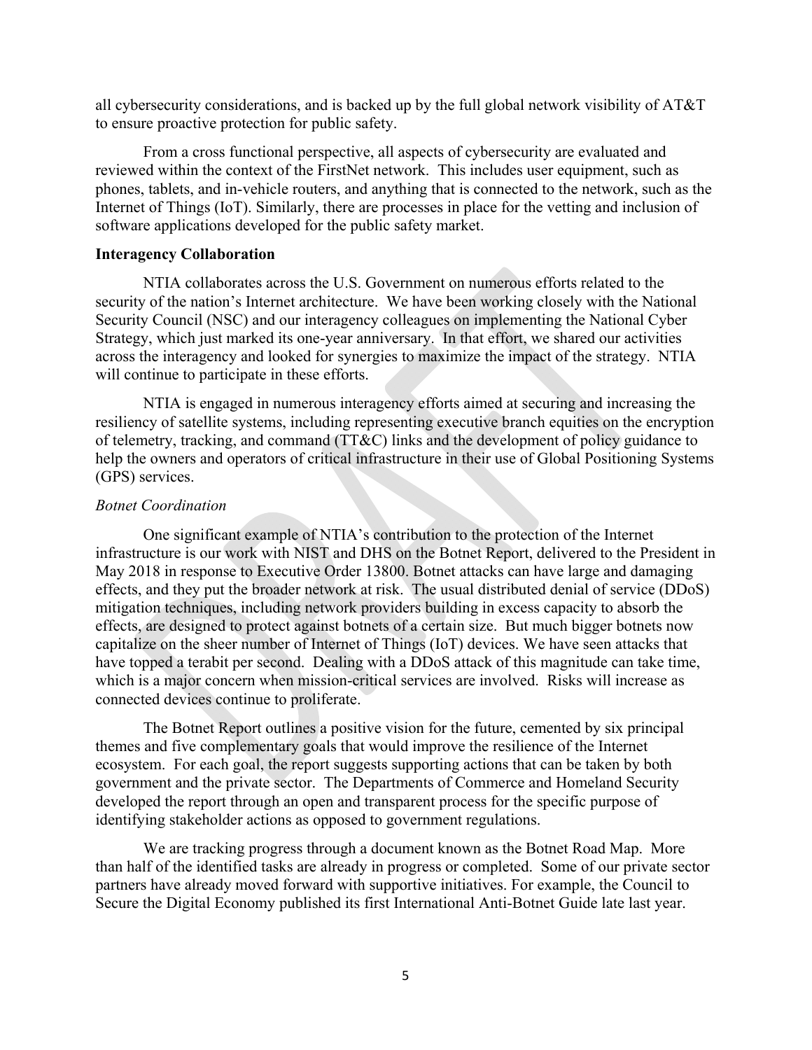all cybersecurity considerations, and is backed up by the full global network visibility of AT&T to ensure proactive protection for public safety.

From a cross functional perspective, all aspects of cybersecurity are evaluated and reviewed within the context of the FirstNet network. This includes user equipment, such as phones, tablets, and in-vehicle routers, and anything that is connected to the network, such as the Internet of Things (IoT). Similarly, there are processes in place for the vetting and inclusion of software applications developed for the public safety market.

#### **Interagency Collaboration**

NTIA collaborates across the U.S. Government on numerous efforts related to the security of the nation's Internet architecture. We have been working closely with the National Security Council (NSC) and our interagency colleagues on implementing the National Cyber Strategy, which just marked its one-year anniversary. In that effort, we shared our activities across the interagency and looked for synergies to maximize the impact of the strategy. NTIA will continue to participate in these efforts.

NTIA is engaged in numerous interagency efforts aimed at securing and increasing the resiliency of satellite systems, including representing executive branch equities on the encryption of telemetry, tracking, and command (TT&C) links and the development of policy guidance to help the owners and operators of critical infrastructure in their use of Global Positioning Systems (GPS) services.

#### *Botnet Coordination*

One significant example of NTIA's contribution to the protection of the Internet infrastructure is our work with NIST and DHS on the Botnet Report, delivered to the President in May 2018 in response to Executive Order 13800. Botnet attacks can have large and damaging effects, and they put the broader network at risk. The usual distributed denial of service (DDoS) mitigation techniques, including network providers building in excess capacity to absorb the effects, are designed to protect against botnets of a certain size. But much bigger botnets now capitalize on the sheer number of Internet of Things (IoT) devices. We have seen attacks that have topped a terabit per second. Dealing with a DDoS attack of this magnitude can take time, which is a major concern when mission-critical services are involved. Risks will increase as connected devices continue to proliferate.

The Botnet Report outlines a positive vision for the future, cemented by six principal themes and five complementary goals that would improve the resilience of the Internet ecosystem. For each goal, the report suggests supporting actions that can be taken by both government and the private sector. The Departments of Commerce and Homeland Security developed the report through an open and transparent process for the specific purpose of identifying stakeholder actions as opposed to government regulations.

We are tracking progress through a document known as the Botnet Road Map. More than half of the identified tasks are already in progress or completed. Some of our private sector partners have already moved forward with supportive initiatives. For example, the Council to Secure the Digital Economy published its first International Anti-Botnet Guide late last year.